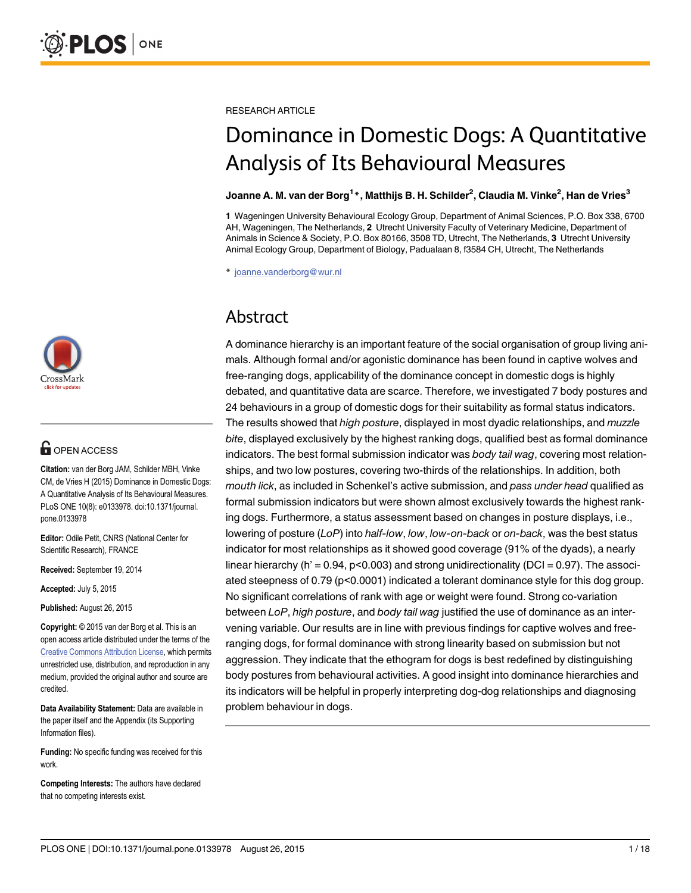

# **G** OPEN ACCESS

Citation: van der Borg JAM, Schilder MBH, Vinke CM, de Vries H (2015) Dominance in Domestic Dogs: A Quantitative Analysis of Its Behavioural Measures. PLoS ONE 10(8): e0133978. doi:10.1371/journal. pone.0133978

Editor: Odile Petit, CNRS (National Center for Scientific Research), FRANCE

Received: September 19, 2014

Accepted: July 5, 2015

Published: August 26, 2015

Copyright: © 2015 van der Borg et al. This is an open access article distributed under the terms of the [Creative Commons Attribution License,](http://creativecommons.org/licenses/by/4.0/) which permits unrestricted use, distribution, and reproduction in any medium, provided the original author and source are credited.

Data Availability Statement: Data are available in the paper itself and the Appendix (its Supporting Information files).

Funding: No specific funding was received for this work.

Competing Interests: The authors have declared that no competing interests exist.

RESEARCH ARTICLE

# Dominance in Domestic Dogs: A Quantitative

# ے کے بعد کر ہے۔<br>Joanne A. M. van der Borg<sup>1</sup>\*, Matthijs B. H. Schilder<sup>2</sup>, Claudia M. Vinke<sup>2</sup>, Han de Vries<sup>3</sup>

1 Wageningen University Behavioural Ecology Group, Department of Animal Sciences, P.O. Box 338, 6700 AH, Wageningen, The Netherlands, 2 Utrecht University Faculty of Veterinary Medicine, Department of Animals in Science & Society, P.O. Box 80166, 3508 TD, Utrecht, The Netherlands, 3 Utrecht University Animal Ecology Group, Department of Biology, Padualaan 8, f3584 CH, Utrecht, The Netherlands

\* joanne.vanderborg@wur.nl

# Abstract

Abstract A dominance hierarchy is an important feature of the social organisation of group living animals. Although formal and/or agonistic dominance has been found in captive wolves and free-ranging dogs, applicability of the dominance concept in domestic dogs is highly debated, and quantitative data are scarce. Therefore, we investigated 7 body postures and 24 behaviours in a group of domestic dogs for their suitability as formal status indicators. The results showed that high posture, displayed in most dyadic relationships, and muzzle bite, displayed exclusively by the highest ranking dogs, qualified best as formal dominance indicators. The best formal submission indicator was body tail wag, covering most relationships, and two low postures, covering two-thirds of the relationships. In addition, both mouth lick, as included in Schenkel's active submission, and pass under head qualified as formal submission indicators but were shown almost exclusively towards the highest ranking dogs. Furthermore, a status assessment based on changes in posture displays, i.e., lowering of posture (LoP) into half-low, low, low-on-back or on-back, was the best status indicator for most relationships as it showed good coverage (91% of the dyads), a nearly linear hierarchy (h' =  $0.94$ , p<0.003) and strong unidirectionality (DCI =  $0.97$ ). The associated steepness of 0.79 (p<0.0001) indicated a tolerant dominance style for this dog group. No significant correlations of rank with age or weight were found. Strong co-variation between LoP, high posture, and body tail wag justified the use of dominance as an intervening variable. Our results are in line with previous findings for captive wolves and freeranging dogs, for formal dominance with strong linearity based on submission but not aggression. They indicate that the ethogram for dogs is best redefined by distinguishing body postures from behavioural activities. A good insight into dominance hierarchies and its indicators will be helpful in properly interpreting dog-dog relationships and diagnosing problem behaviour in dogs.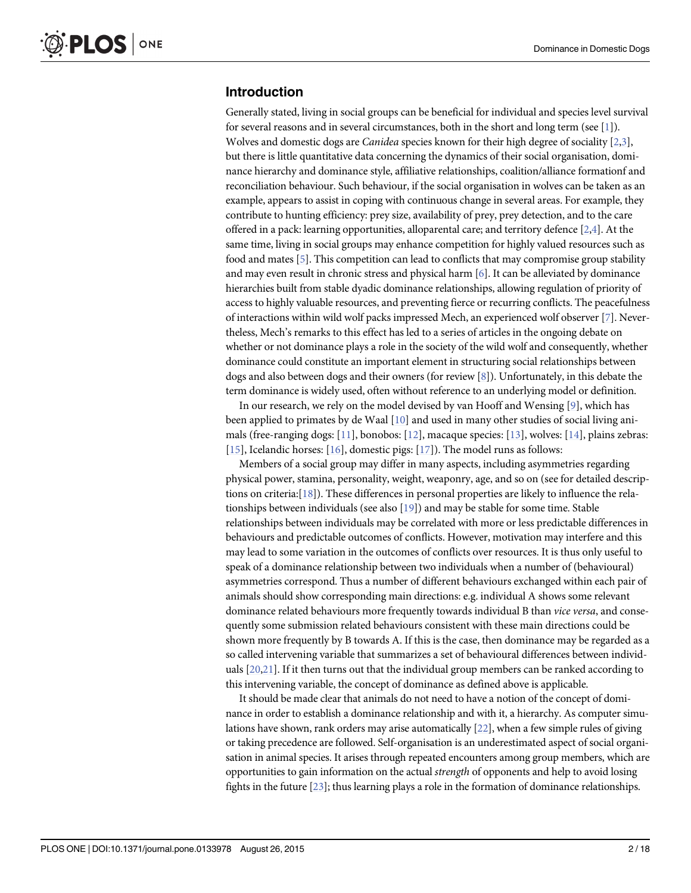# <span id="page-1-0"></span>Introduction

Generally stated, living in social groups can be beneficial for individual and species level survival for several reasons and in several circumstances, both in the short and long term (see  $[1]$  $[1]$ ). Wolves and domestic dogs are *Canidea* species known for their high degree of sociality [[2,3](#page-15-0)], but there is little quantitative data concerning the dynamics of their social organisation, dominance hierarchy and dominance style, affiliative relationships, coalition/alliance formationf and reconciliation behaviour. Such behaviour, if the social organisation in wolves can be taken as an example, appears to assist in coping with continuous change in several areas. For example, they contribute to hunting efficiency: prey size, availability of prey, prey detection, and to the care offered in a pack: learning opportunities, alloparental care; and territory defence [[2,4](#page-15-0)]. At the same time, living in social groups may enhance competition for highly valued resources such as food and mates  $[5]$  $[5]$  $[5]$ . This competition can lead to conflicts that may compromise group stability and may even result in chronic stress and physical harm  $[6]$  $[6]$ . It can be alleviated by dominance hierarchies built from stable dyadic dominance relationships, allowing regulation of priority of access to highly valuable resources, and preventing fierce or recurring conflicts. The peacefulness of interactions within wild wolf packs impressed Mech, an experienced wolf observer [\[7](#page-15-0)]. Nevertheless, Mech's remarks to this effect has led to a series of articles in the ongoing debate on whether or not dominance plays a role in the society of the wild wolf and consequently, whether dominance could constitute an important element in structuring social relationships between dogs and also between dogs and their owners (for review [\[8\]](#page-15-0)). Unfortunately, in this debate the term dominance is widely used, often without reference to an underlying model or definition.

In our research, we rely on the model devised by van Hooff and Wensing [[9](#page-15-0)], which has been applied to primates by de Waal [[10](#page-15-0)] and used in many other studies of social living animals (free-ranging dogs: [[11](#page-15-0)], bonobos: [\[12\]](#page-15-0), macaque species: [[13](#page-15-0)], wolves: [[14](#page-15-0)], plains zebras: [ $15$ ], Icelandic horses: [ $16$ ], domestic pigs: [ $17$ ]). The model runs as follows:

Members of a social group may differ in many aspects, including asymmetries regarding physical power, stamina, personality, weight, weaponry, age, and so on (see for detailed descriptions on criteria:[[18](#page-16-0)]). These differences in personal properties are likely to influence the relationships between individuals (see also  $[19]$  $[19]$  $[19]$ ) and may be stable for some time. Stable relationships between individuals may be correlated with more or less predictable differences in behaviours and predictable outcomes of conflicts. However, motivation may interfere and this may lead to some variation in the outcomes of conflicts over resources. It is thus only useful to speak of a dominance relationship between two individuals when a number of (behavioural) asymmetries correspond. Thus a number of different behaviours exchanged within each pair of animals should show corresponding main directions: e.g. individual A shows some relevant dominance related behaviours more frequently towards individual B than *vice versa*, and consequently some submission related behaviours consistent with these main directions could be shown more frequently by B towards A. If this is the case, then dominance may be regarded as a so called intervening variable that summarizes a set of behavioural differences between individuals [\[20,21](#page-16-0)]. If it then turns out that the individual group members can be ranked according to this intervening variable, the concept of dominance as defined above is applicable.

It should be made clear that animals do not need to have a notion of the concept of dominance in order to establish a dominance relationship and with it, a hierarchy. As computer simulations have shown, rank orders may arise automatically [\[22\]](#page-16-0), when a few simple rules of giving or taking precedence are followed. Self-organisation is an underestimated aspect of social organisation in animal species. It arises through repeated encounters among group members, which are opportunities to gain information on the actual strength of opponents and help to avoid losing fights in the future [\[23\]](#page-16-0); thus learning plays a role in the formation of dominance relationships.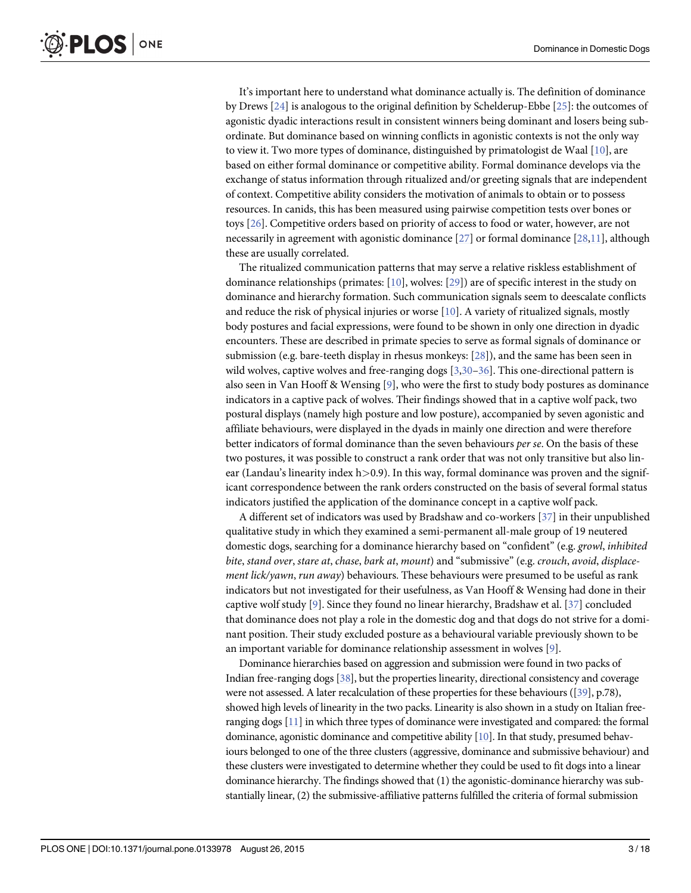<span id="page-2-0"></span>It's important here to understand what dominance actually is. The definition of dominance by Drews [[24\]](#page-16-0) is analogous to the original definition by Schelderup-Ebbe [\[25\]](#page-16-0): the outcomes of agonistic dyadic interactions result in consistent winners being dominant and losers being subordinate. But dominance based on winning conflicts in agonistic contexts is not the only way to view it. Two more types of dominance, distinguished by primatologist de Waal [[10](#page-15-0)], are based on either formal dominance or competitive ability. Formal dominance develops via the exchange of status information through ritualized and/or greeting signals that are independent of context. Competitive ability considers the motivation of animals to obtain or to possess resources. In canids, this has been measured using pairwise competition tests over bones or toys [[26](#page-16-0)]. Competitive orders based on priority of access to food or water, however, are not necessarily in agreement with agonistic dominance [[27](#page-16-0)] or formal dominance [\[28](#page-16-0)[,11\]](#page-15-0), although these are usually correlated.

The ritualized communication patterns that may serve a relative riskless establishment of dominance relationships (primates: [\[10\]](#page-15-0), wolves: [\[29\]](#page-16-0)) are of specific interest in the study on dominance and hierarchy formation. Such communication signals seem to deescalate conflicts and reduce the risk of physical injuries or worse [\[10\]](#page-15-0). A variety of ritualized signals, mostly body postures and facial expressions, were found to be shown in only one direction in dyadic encounters. These are described in primate species to serve as formal signals of dominance or submission (e.g. bare-teeth display in rhesus monkeys: [[28](#page-16-0)]), and the same has been seen in wild wolves, captive wolves and free-ranging dogs [\[3](#page-15-0)[,30](#page-16-0)–[36\]](#page-16-0). This one-directional pattern is also seen in Van Hooff & Wensing  $[9]$  $[9]$ , who were the first to study body postures as dominance indicators in a captive pack of wolves. Their findings showed that in a captive wolf pack, two postural displays (namely high posture and low posture), accompanied by seven agonistic and affiliate behaviours, were displayed in the dyads in mainly one direction and were therefore better indicators of formal dominance than the seven behaviours *per se*. On the basis of these two postures, it was possible to construct a rank order that was not only transitive but also linear (Landau's linearity index  $h > 0.9$ ). In this way, formal dominance was proven and the significant correspondence between the rank orders constructed on the basis of several formal status indicators justified the application of the dominance concept in a captive wolf pack.

A different set of indicators was used by Bradshaw and co-workers [\[37\]](#page-16-0) in their unpublished qualitative study in which they examined a semi-permanent all-male group of 19 neutered domestic dogs, searching for a dominance hierarchy based on "confident" (e.g. growl, inhibited bite, stand over, stare at, chase, bark at, mount) and "submissive" (e.g. crouch, avoid, displacement lick/yawn, run away) behaviours. These behaviours were presumed to be useful as rank indicators but not investigated for their usefulness, as Van Hooff & Wensing had done in their captive wolf study [\[9\]](#page-15-0). Since they found no linear hierarchy, Bradshaw et al. [[37](#page-16-0)] concluded that dominance does not play a role in the domestic dog and that dogs do not strive for a dominant position. Their study excluded posture as a behavioural variable previously shown to be an important variable for dominance relationship assessment in wolves [\[9\]](#page-15-0).

Dominance hierarchies based on aggression and submission were found in two packs of Indian free-ranging dogs [\[38\]](#page-16-0), but the properties linearity, directional consistency and coverage were not assessed. A later recalculation of these properties for these behaviours ( $[39]$ , p.78), showed high levels of linearity in the two packs. Linearity is also shown in a study on Italian freeranging dogs [[11\]](#page-15-0) in which three types of dominance were investigated and compared: the formal dominance, agonistic dominance and competitive ability  $[10]$  $[10]$  $[10]$ . In that study, presumed behaviours belonged to one of the three clusters (aggressive, dominance and submissive behaviour) and these clusters were investigated to determine whether they could be used to fit dogs into a linear dominance hierarchy. The findings showed that (1) the agonistic-dominance hierarchy was substantially linear, (2) the submissive-affiliative patterns fulfilled the criteria of formal submission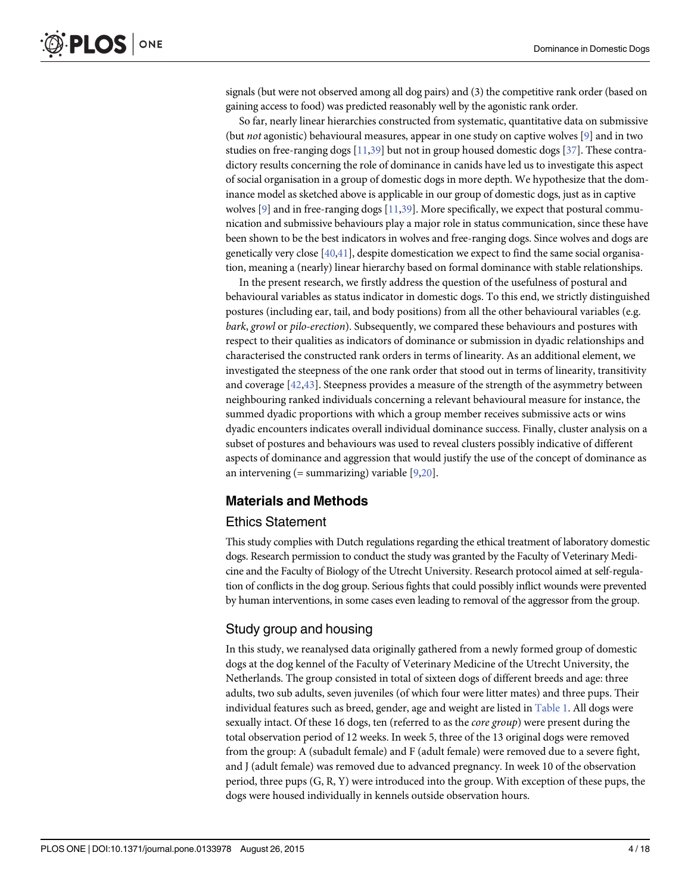<span id="page-3-0"></span>signals (but were not observed among all dog pairs) and (3) the competitive rank order (based on gaining access to food) was predicted reasonably well by the agonistic rank order.

So far, nearly linear hierarchies constructed from systematic, quantitative data on submissive (but not agonistic) behavioural measures, appear in one study on captive wolves [[9](#page-15-0)] and in two studies on free-ranging dogs [\[11](#page-15-0)[,39\]](#page-16-0) but not in group housed domestic dogs [[37](#page-16-0)]. These contradictory results concerning the role of dominance in canids have led us to investigate this aspect of social organisation in a group of domestic dogs in more depth. We hypothesize that the dominance model as sketched above is applicable in our group of domestic dogs, just as in captive wolves  $[9]$  and in free-ranging dogs  $[11,39]$  $[11,39]$  $[11,39]$ . More specifically, we expect that postural communication and submissive behaviours play a major role in status communication, since these have been shown to be the best indicators in wolves and free-ranging dogs. Since wolves and dogs are genetically very close  $[40,41]$  $[40,41]$ , despite domestication we expect to find the same social organisation, meaning a (nearly) linear hierarchy based on formal dominance with stable relationships.

In the present research, we firstly address the question of the usefulness of postural and behavioural variables as status indicator in domestic dogs. To this end, we strictly distinguished postures (including ear, tail, and body positions) from all the other behavioural variables (e.g. bark, growl or pilo-erection). Subsequently, we compared these behaviours and postures with respect to their qualities as indicators of dominance or submission in dyadic relationships and characterised the constructed rank orders in terms of linearity. As an additional element, we investigated the steepness of the one rank order that stood out in terms of linearity, transitivity and coverage  $[42,43]$  $[42,43]$ . Steepness provides a measure of the strength of the asymmetry between neighbouring ranked individuals concerning a relevant behavioural measure for instance, the summed dyadic proportions with which a group member receives submissive acts or wins dyadic encounters indicates overall individual dominance success. Finally, cluster analysis on a subset of postures and behaviours was used to reveal clusters possibly indicative of different aspects of dominance and aggression that would justify the use of the concept of dominance as an intervening  $(=$  summarizing) variable  $[9,20]$  $[9,20]$ .

# Materials and Methods

#### Ethics Statement

This study complies with Dutch regulations regarding the ethical treatment of laboratory domestic dogs. Research permission to conduct the study was granted by the Faculty of Veterinary Medicine and the Faculty of Biology of the Utrecht University. Research protocol aimed at self-regulation of conflicts in the dog group. Serious fights that could possibly inflict wounds were prevented by human interventions, in some cases even leading to removal of the aggressor from the group.

# Study group and housing

In this study, we reanalysed data originally gathered from a newly formed group of domestic dogs at the dog kennel of the Faculty of Veterinary Medicine of the Utrecht University, the Netherlands. The group consisted in total of sixteen dogs of different breeds and age: three adults, two sub adults, seven juveniles (of which four were litter mates) and three pups. Their individual features such as breed, gender, age and weight are listed in [Table 1](#page-4-0). All dogs were sexually intact. Of these 16 dogs, ten (referred to as the *core group*) were present during the total observation period of 12 weeks. In week 5, three of the 13 original dogs were removed from the group: A (subadult female) and F (adult female) were removed due to a severe fight, and J (adult female) was removed due to advanced pregnancy. In week 10 of the observation period, three pups (G, R, Y) were introduced into the group. With exception of these pups, the dogs were housed individually in kennels outside observation hours.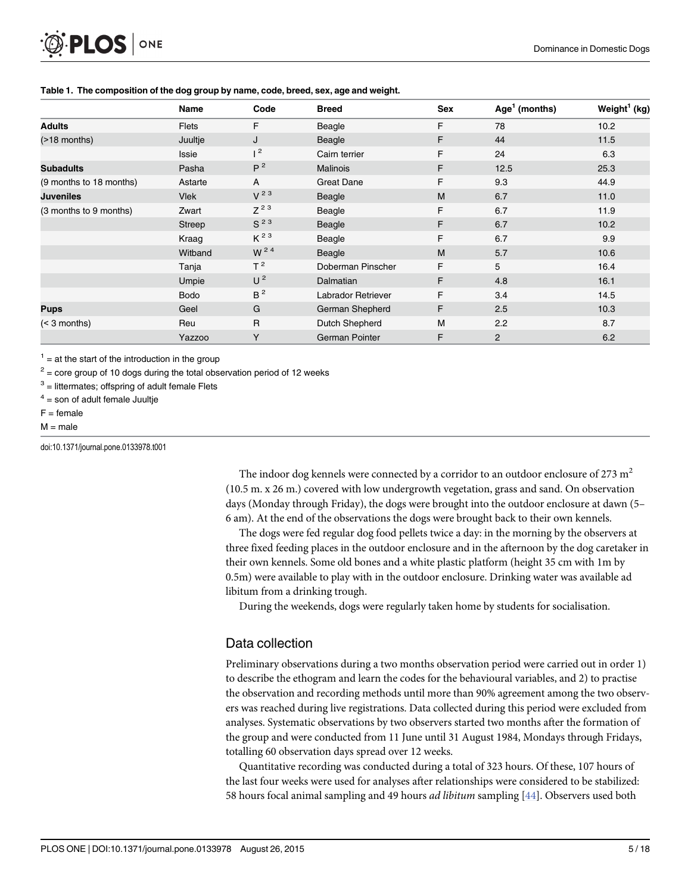<span id="page-4-0"></span>

|                         | Name          | Code               | <b>Breed</b>       | Sex | Age <sup>1</sup> (months) | Weight <sup>1</sup> (kg) |
|-------------------------|---------------|--------------------|--------------------|-----|---------------------------|--------------------------|
| <b>Adults</b>           | <b>Flets</b>  | F                  | Beagle             | F   | 78                        | 10.2                     |
| $($ >18 months)         | Juultje       | J                  | Beagle             | F.  | 44                        | 11.5                     |
|                         | <b>Issie</b>  | 1 <sup>2</sup>     | Cairn terrier      | F   | 24                        | 6.3                      |
| <b>Subadults</b>        | Pasha         | $P^2$              | <b>Malinois</b>    | F.  | 12.5                      | 25.3                     |
| (9 months to 18 months) | Astarte       | A                  | <b>Great Dane</b>  | F   | 9.3                       | 44.9                     |
| <b>Juveniles</b>        | <b>Vlek</b>   | V <sup>23</sup>    | Beagle             | M   | 6.7                       | 11.0                     |
| (3 months to 9 months)  | Zwart         | $Z^{23}$           | Beagle             | F   | 6.7                       | 11.9                     |
|                         | Streep        | S <sup>23</sup>    | Beagle             | F   | 6.7                       | 10.2                     |
|                         | Kraag         | $K^2$ <sup>3</sup> | Beagle             | F   | 6.7                       | 9.9                      |
|                         | Witband       | W <sup>24</sup>    | Beagle             | M   | 5.7                       | 10.6                     |
|                         | Tanja         | $T^2$              | Doberman Pinscher  | F   | 5                         | 16.4                     |
|                         | Umpie         | $U^2$              | Dalmatian          | F   | 4.8                       | 16.1                     |
|                         | <b>Bodo</b>   | $B^2$              | Labrador Retriever | F   | 3.4                       | 14.5                     |
| <b>Pups</b>             | Geel          | G                  | German Shepherd    | F.  | 2.5                       | 10.3                     |
| $(3 \text{ months})$    | Reu           | $\mathsf{R}$       | Dutch Shepherd     | M   | 2.2                       | 8.7                      |
|                         | <b>Yazzoo</b> | Υ                  | German Pointer     | F   | $\overline{2}$            | 6.2                      |

#### [Table 1.](#page-3-0) The composition of the dog group by name, code, breed, sex, age and weight.

 $<sup>1</sup>$  = at the start of the introduction in the group</sup>

 $2^2$  = core group of 10 dogs during the total observation period of 12 weeks

 $3$  = littermates; offspring of adult female Flets

 $4 =$  son of adult female Juultie

 $M = male$ 

doi:10.1371/journal.pone.0133978.t001

The indoor dog kennels were connected by a corridor to an outdoor enclosure of 273  $m<sup>2</sup>$ (10.5 m. x 26 m.) covered with low undergrowth vegetation, grass and sand. On observation days (Monday through Friday), the dogs were brought into the outdoor enclosure at dawn (5– 6 am). At the end of the observations the dogs were brought back to their own kennels.

The dogs were fed regular dog food pellets twice a day: in the morning by the observers at three fixed feeding places in the outdoor enclosure and in the afternoon by the dog caretaker in their own kennels. Some old bones and a white plastic platform (height 35 cm with 1m by 0.5m) were available to play with in the outdoor enclosure. Drinking water was available ad libitum from a drinking trough.

During the weekends, dogs were regularly taken home by students for socialisation.

# Data collection

Preliminary observations during a two months observation period were carried out in order 1) to describe the ethogram and learn the codes for the behavioural variables, and 2) to practise the observation and recording methods until more than 90% agreement among the two observers was reached during live registrations. Data collected during this period were excluded from analyses. Systematic observations by two observers started two months after the formation of the group and were conducted from 11 June until 31 August 1984, Mondays through Fridays, totalling 60 observation days spread over 12 weeks.

Quantitative recording was conducted during a total of 323 hours. Of these, 107 hours of the last four weeks were used for analyses after relationships were considered to be stabilized: 58 hours focal animal sampling and 49 hours ad libitum sampling [[44](#page-16-0)]. Observers used both

 $F =$  female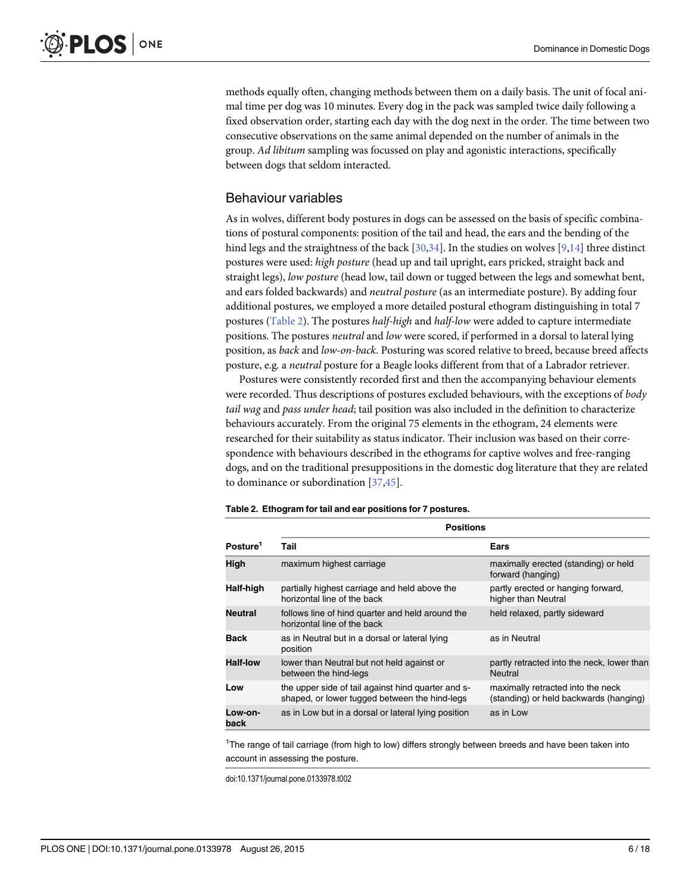<span id="page-5-0"></span>methods equally often, changing methods between them on a daily basis. The unit of focal animal time per dog was 10 minutes. Every dog in the pack was sampled twice daily following a fixed observation order, starting each day with the dog next in the order. The time between two consecutive observations on the same animal depended on the number of animals in the group. Ad libitum sampling was focussed on play and agonistic interactions, specifically between dogs that seldom interacted.

# Behaviour variables

As in wolves, different body postures in dogs can be assessed on the basis of specific combinations of postural components: position of the tail and head, the ears and the bending of the hind legs and the straightness of the back [\[30,34](#page-16-0)]. In the studies on wolves [[9](#page-15-0),[14](#page-15-0)] three distinct postures were used: high posture (head up and tail upright, ears pricked, straight back and straight legs), low posture (head low, tail down or tugged between the legs and somewhat bent, and ears folded backwards) and neutral posture (as an intermediate posture). By adding four additional postures, we employed a more detailed postural ethogram distinguishing in total 7 postures (Table 2). The postures half-high and half-low were added to capture intermediate positions. The postures neutral and low were scored, if performed in a dorsal to lateral lying position, as back and low-on-back. Posturing was scored relative to breed, because breed affects posture, e.g. a *neutral* posture for a Beagle looks different from that of a Labrador retriever.

Postures were consistently recorded first and then the accompanying behaviour elements were recorded. Thus descriptions of postures excluded behaviours, with the exceptions of body tail wag and pass under head; tail position was also included in the definition to characterize behaviours accurately. From the original 75 elements in the ethogram, 24 elements were researched for their suitability as status indicator. Their inclusion was based on their correspondence with behaviours described in the ethograms for captive wolves and free-ranging dogs, and on the traditional presuppositions in the domestic dog literature that they are related to dominance or subordination [[37](#page-16-0)[,45](#page-17-0)].

#### Table 2. Ethogram for tail and ear positions for 7 postures.

|                      | <b>Positions</b>                                                                                    |                                                                             |  |  |  |  |  |  |  |
|----------------------|-----------------------------------------------------------------------------------------------------|-----------------------------------------------------------------------------|--|--|--|--|--|--|--|
| Posture <sup>1</sup> | Tail                                                                                                | Ears                                                                        |  |  |  |  |  |  |  |
| High                 | maximum highest carriage                                                                            | maximally erected (standing) or held<br>forward (hanging)                   |  |  |  |  |  |  |  |
| Half-high            | partially highest carriage and held above the<br>horizontal line of the back                        | partly erected or hanging forward,<br>higher than Neutral                   |  |  |  |  |  |  |  |
| <b>Neutral</b>       | follows line of hind quarter and held around the<br>horizontal line of the back                     | held relaxed, partly sideward                                               |  |  |  |  |  |  |  |
| <b>Back</b>          | as in Neutral but in a dorsal or lateral lying<br>position                                          | as in Neutral                                                               |  |  |  |  |  |  |  |
| <b>Half-low</b>      | lower than Neutral but not held against or<br>between the hind-legs                                 | partly retracted into the neck, lower than<br>Neutral                       |  |  |  |  |  |  |  |
| Low                  | the upper side of tail against hind quarter and s-<br>shaped, or lower tugged between the hind-legs | maximally retracted into the neck<br>(standing) or held backwards (hanging) |  |  |  |  |  |  |  |
| Low-on-<br>back      | as in Low but in a dorsal or lateral lying position                                                 | as in Low                                                                   |  |  |  |  |  |  |  |

<sup>1</sup>The range of tail carriage (from high to low) differs strongly between breeds and have been taken into account in assessing the posture.

doi:10.1371/journal.pone.0133978.t002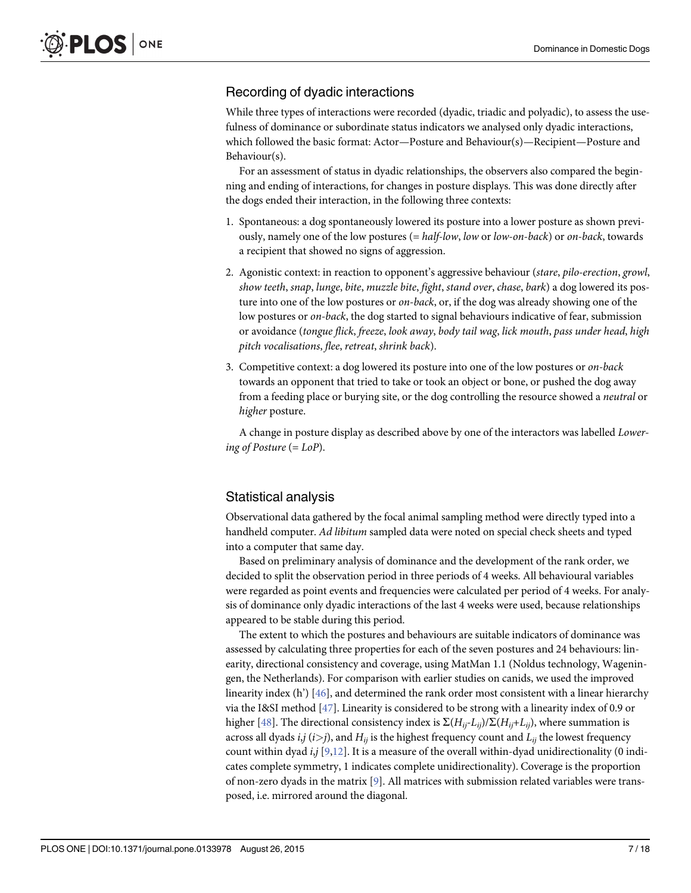# <span id="page-6-0"></span>Recording of dyadic interactions

While three types of interactions were recorded (dyadic, triadic and polyadic), to assess the usefulness of dominance or subordinate status indicators we analysed only dyadic interactions, which followed the basic format: Actor—Posture and Behaviour(s)—Recipient—Posture and Behaviour(s).

For an assessment of status in dyadic relationships, the observers also compared the beginning and ending of interactions, for changes in posture displays. This was done directly after the dogs ended their interaction, in the following three contexts:

- 1. Spontaneous: a dog spontaneously lowered its posture into a lower posture as shown previously, namely one of the low postures (= half-low, low or low-on-back) or on-back, towards a recipient that showed no signs of aggression.
- 2. Agonistic context: in reaction to opponent's aggressive behaviour (stare, pilo-erection, growl, show teeth, snap, lunge, bite, muzzle bite, fight, stand over, chase, bark) a dog lowered its posture into one of the low postures or *on-back*, or, if the dog was already showing one of the low postures or on-back, the dog started to signal behaviours indicative of fear, submission or avoidance (tongue flick, freeze, look away, body tail wag, lick mouth, pass under head, high pitch vocalisations, flee, retreat, shrink back).
- 3. Competitive context: a dog lowered its posture into one of the low postures or on-back towards an opponent that tried to take or took an object or bone, or pushed the dog away from a feeding place or burying site, or the dog controlling the resource showed a neutral or higher posture.

A change in posture display as described above by one of the interactors was labelled Lowering of Posture  $(=L \circ P)$ .

# Statistical analysis

Observational data gathered by the focal animal sampling method were directly typed into a handheld computer. Ad libitum sampled data were noted on special check sheets and typed into a computer that same day.

Based on preliminary analysis of dominance and the development of the rank order, we decided to split the observation period in three periods of 4 weeks. All behavioural variables were regarded as point events and frequencies were calculated per period of 4 weeks. For analysis of dominance only dyadic interactions of the last 4 weeks were used, because relationships appeared to be stable during this period.

The extent to which the postures and behaviours are suitable indicators of dominance was assessed by calculating three properties for each of the seven postures and 24 behaviours: linearity, directional consistency and coverage, using MatMan 1.1 (Noldus technology, Wageningen, the Netherlands). For comparison with earlier studies on canids, we used the improved linearity index (h')  $[46]$  $[46]$ , and determined the rank order most consistent with a linear hierarchy via the I&SI method [[47](#page-17-0)]. Linearity is considered to be strong with a linearity index of 0.9 or higher [\[48\]](#page-17-0). The directional consistency index is  $\Sigma(H_{ij} - L_{ij})/\Sigma(H_{ij} + L_{ij})$ , where summation is across all dyads *i,j* (*i*>*j*), and  $H_{ii}$  is the highest frequency count and  $L_{ii}$  the lowest frequency count within dyad *i,j* [[9,12](#page-15-0)]. It is a measure of the overall within-dyad unidirectionality (0 indicates complete symmetry, 1 indicates complete unidirectionality). Coverage is the proportion of non-zero dyads in the matrix  $[9]$ . All matrices with submission related variables were transposed, i.e. mirrored around the diagonal.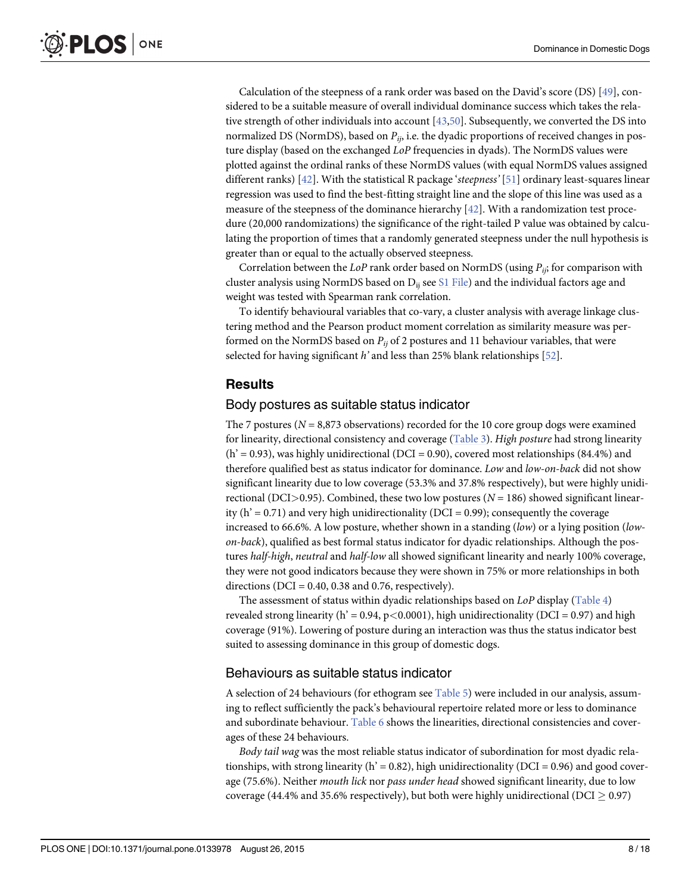<span id="page-7-0"></span>Calculation of the steepness of a rank order was based on the David's score (DS) [[49](#page-17-0)], considered to be a suitable measure of overall individual dominance success which takes the relative strength of other individuals into account  $[43,50]$  $[43,50]$  $[43,50]$ . Subsequently, we converted the DS into normalized DS (NormDS), based on  $P_{ij}$ , i.e. the dyadic proportions of received changes in posture display (based on the exchanged LoP frequencies in dyads). The NormDS values were plotted against the ordinal ranks of these NormDS values (with equal NormDS values assigned different ranks) [\[42\]](#page-16-0). With the statistical R package 'steepness' [\[51\]](#page-17-0) ordinary least-squares linear regression was used to find the best-fitting straight line and the slope of this line was used as a measure of the steepness of the dominance hierarchy  $[42]$  $[42]$  $[42]$ . With a randomization test procedure (20,000 randomizations) the significance of the right-tailed P value was obtained by calculating the proportion of times that a randomly generated steepness under the null hypothesis is greater than or equal to the actually observed steepness.

Correlation between the LoP rank order based on NormDS (using  $P_{ij}$ ; for comparison with cluster analysis using NormDS based on  $D_{ii}$  see  $S1$  File) and the individual factors age and weight was tested with Spearman rank correlation.

To identify behavioural variables that co-vary, a cluster analysis with average linkage clustering method and the Pearson product moment correlation as similarity measure was performed on the NormDS based on  $P_{ij}$  of 2 postures and 11 behaviour variables, that were selected for having significant  $h'$  and less than 25% blank relationships [\[52](#page-17-0)].

#### **Results**

#### Body postures as suitable status indicator

The 7 postures ( $N = 8,873$  observations) recorded for the 10 core group dogs were examined for linearity, directional consistency and coverage  $(Table 3)$  $(Table 3)$ . High posture had strong linearity  $(h' = 0.93)$ , was highly unidirectional (DCI = 0.90), covered most relationships (84.4%) and therefore qualified best as status indicator for dominance. Low and low-on-back did not show significant linearity due to low coverage (53.3% and 37.8% respectively), but were highly unidirectional (DCI>0.95). Combined, these two low postures ( $N = 186$ ) showed significant linearity ( $h' = 0.71$ ) and very high unidirectionality (DCI = 0.99); consequently the coverage increased to 66.6%. A low posture, whether shown in a standing (low) or a lying position (lowon-back), qualified as best formal status indicator for dyadic relationships. Although the postures half-high, neutral and half-low all showed significant linearity and nearly 100% coverage, they were not good indicators because they were shown in 75% or more relationships in both directions ( $DCI = 0.40$ , 0.38 and 0.76, respectively).

The assessment of status within dyadic relationships based on  $LoP$  display ([Table 4\)](#page-8-0) revealed strong linearity (h' = 0.94, p<0.0001), high unidirectionality (DCI = 0.97) and high coverage (91%). Lowering of posture during an interaction was thus the status indicator best suited to assessing dominance in this group of domestic dogs.

#### Behaviours as suitable status indicator

A selection of 24 behaviours (for ethogram see [Table 5\)](#page-9-0) were included in our analysis, assuming to reflect sufficiently the pack's behavioural repertoire related more or less to dominance and subordinate behaviour. [Table 6](#page-10-0) shows the linearities, directional consistencies and coverages of these 24 behaviours.

Body tail wag was the most reliable status indicator of subordination for most dyadic relationships, with strong linearity ( $h^2 = 0.82$ ), high unidirectionality (DCI = 0.96) and good coverage (75.6%). Neither mouth lick nor pass under head showed significant linearity, due to low coverage (44.4% and 35.6% respectively), but both were highly unidirectional (DCI  $\geq$  0.97)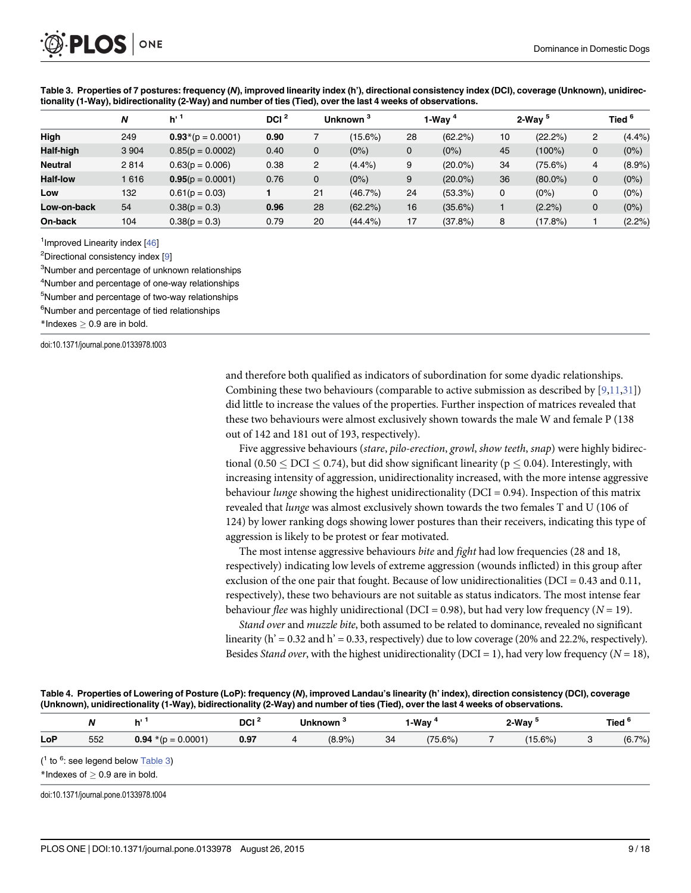<span id="page-8-0"></span>

| High            | N       | h'                  | DCI <sup>2</sup> |                       | Unknown <sup>3</sup> |    | 1-Wav <sup>4</sup> |    | 2-Wav $^5$ |   | Tied <sup>6</sup> |  |
|-----------------|---------|---------------------|------------------|-----------------------|----------------------|----|--------------------|----|------------|---|-------------------|--|
|                 | 249     | $0.93*(p = 0.0001)$ | 0.90             |                       | $(15.6\%)$           | 28 | (62.2%)            | 10 | (22.2%)    | 2 | (4.4%             |  |
| Half-high       | 3 9 0 4 | $0.85(p = 0.0002)$  | 0.40             | $\mathbf{0}$          | $(0\%)$              | 0  | $(0\%)$            | 45 | $(100\%)$  | 0 | $(0\%)$           |  |
| <b>Neutral</b>  | 2814    | $0.63(p = 0.006)$   | 0.38             | $\mathbf{2}^{\prime}$ | (4.4%                | 9  | $(20.0\%)$         | 34 | $(75.6\%)$ | 4 | (8.9%             |  |
| <b>Half-low</b> | 1616    | $0.95(p = 0.0001)$  | 0.76             | $\mathbf{0}$          | $(0\%)$              | 9  | $(20.0\%)$         | 36 | $(80.0\%)$ | 0 | $(0\%)$           |  |
| Low             | 132     | $0.61(p = 0.03)$    |                  | 21                    | (46.7%)              | 24 | (53.3%)            | 0  | $(0\%)$    | 0 | $(0\%)$           |  |
| Low-on-back     | 54      | $0.38(p = 0.3)$     | 0.96             | 28                    | $(62.2\%)$           | 16 | (35.6%)            |    | $(2.2\%)$  | 0 | $(0\%)$           |  |
| On-back         | 104     | $0.38(p = 0.3)$     | 0.79             | 20                    | $(44.4\%)$           | 17 | (37.8%)            | 8  | (17.8%)    |   | (2.2%             |  |

[Table 3.](#page-7-0) Properties of 7 postures: frequency (N), improved linearity index (h'), directional consistency index (DCI), coverage (Unknown), unidirectionality (1-Way), bidirectionality (2-Way) and number of ties (Tied), over the last 4 weeks of observations.

<sup>1</sup>Improved Linearity index [[46\]](#page-17-0)

<sup>2</sup>Directional consistency index [[9](#page-15-0)]

<sup>3</sup>Number and percentage of unknown relationships

4 Number and percentage of one-way relationships

5 Number and percentage of two-way relationships

<sup>6</sup>Number and percentage of tied relationships

 $*$ Indexes  $> 0.9$  are in bold.

doi:10.1371/journal.pone.0133978.t003

and therefore both qualified as indicators of subordination for some dyadic relationships. Combining these two behaviours (comparable to active submission as described by  $[9,11,31]$  $[9,11,31]$  $[9,11,31]$ ) did little to increase the values of the properties. Further inspection of matrices revealed that these two behaviours were almost exclusively shown towards the male W and female P (138 out of 142 and 181 out of 193, respectively).

Five aggressive behaviours (stare, pilo-erection, growl, show teeth, snap) were highly bidirectional (0.50  $\leq$  DCI  $\leq$  0.74), but did show significant linearity (p  $\leq$  0.04). Interestingly, with increasing intensity of aggression, unidirectionality increased, with the more intense aggressive behaviour *lunge* showing the highest unidirectionality ( $DCI = 0.94$ ). Inspection of this matrix revealed that lunge was almost exclusively shown towards the two females T and U (106 of 124) by lower ranking dogs showing lower postures than their receivers, indicating this type of aggression is likely to be protest or fear motivated.

The most intense aggressive behaviours bite and fight had low frequencies (28 and 18, respectively) indicating low levels of extreme aggression (wounds inflicted) in this group after exclusion of the one pair that fought. Because of low unidirectionalities ( $DCI = 0.43$  and  $0.11$ , respectively), these two behaviours are not suitable as status indicators. The most intense fear behaviour *flee* was highly unidirectional (DCI = 0.98), but had very low frequency ( $N = 19$ ).

Stand over and muzzle bite, both assumed to be related to dominance, revealed no significant linearity ( $h' = 0.32$  and  $h' = 0.33$ , respectively) due to low coverage (20% and 22.2%, respectively). Besides *Stand over*, with the highest unidirectionality (DCI = 1), had very low frequency ( $N = 18$ ),

[Table 4.](#page-7-0) Properties of Lowering of Posture (LoP): frequency (N), improved Landau's linearity (h' index), direction consistency (DCI), coverage (Unknown), unidirectionality (1-Way), bidirectionality (2-Way) and number of ties (Tied), over the last 4 weeks of observations.

| N          |                                  | h' '                                       | DCI <sup>2</sup> |                                    | Unknown <sup>3</sup> |  | 1-Wav $4$ |            | 2-Wav $5$ |           | Tied <sup>6</sup> |
|------------|----------------------------------|--------------------------------------------|------------------|------------------------------------|----------------------|--|-----------|------------|-----------|-----------|-------------------|
| <b>LoP</b> | 552                              | 0.94 $*(p = 0.0001)$                       | 0.97             | 34<br>$(8.9\%)$<br>$(75.6\%)$<br>4 |                      |  |           | $(15.6\%)$ | 3         | $(6.7\%)$ |                   |
|            |                                  | $(1)$ to $6$ : see legend below $Table 3)$ |                  |                                    |                      |  |           |            |           |           |                   |
|            | *Indexes of $> 0.9$ are in bold. |                                            |                  |                                    |                      |  |           |            |           |           |                   |
|            |                                  | doi:10.1371/journal.pone.0133978.t004      |                  |                                    |                      |  |           |            |           |           |                   |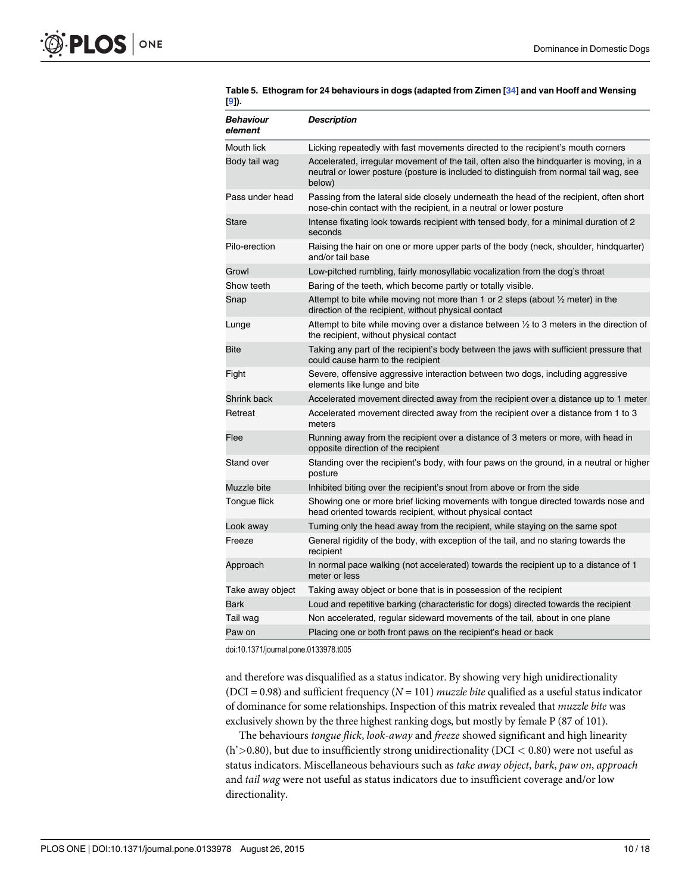| <b>Behaviour</b><br>element | <b>Description</b>                                                                                                                                                                          |
|-----------------------------|---------------------------------------------------------------------------------------------------------------------------------------------------------------------------------------------|
| Mouth lick                  | Licking repeatedly with fast movements directed to the recipient's mouth corners                                                                                                            |
| Body tail wag               | Accelerated, irregular movement of the tail, often also the hindquarter is moving, in a<br>neutral or lower posture (posture is included to distinguish from normal tail wag, see<br>below) |
| Pass under head             | Passing from the lateral side closely underneath the head of the recipient, often short<br>nose-chin contact with the recipient, in a neutral or lower posture                              |
| Stare                       | Intense fixating look towards recipient with tensed body, for a minimal duration of 2<br>seconds                                                                                            |
| Pilo-erection               | Raising the hair on one or more upper parts of the body (neck, shoulder, hindquarter)<br>and/or tail base                                                                                   |
| Growl                       | Low-pitched rumbling, fairly monosyllabic vocalization from the dog's throat                                                                                                                |
| Show teeth                  | Baring of the teeth, which become partly or totally visible.                                                                                                                                |
| Snap                        | Attempt to bite while moving not more than 1 or 2 steps (about $\frac{1}{2}$ meter) in the<br>direction of the recipient, without physical contact                                          |
| Lunge                       | Attempt to bite while moving over a distance between $\frac{1}{2}$ to 3 meters in the direction of<br>the recipient, without physical contact                                               |
| <b>Bite</b>                 | Taking any part of the recipient's body between the jaws with sufficient pressure that<br>could cause harm to the recipient                                                                 |
| Fight                       | Severe, offensive aggressive interaction between two dogs, including aggressive<br>elements like lunge and bite                                                                             |
| Shrink back                 | Accelerated movement directed away from the recipient over a distance up to 1 meter                                                                                                         |
| Retreat                     | Accelerated movement directed away from the recipient over a distance from 1 to 3<br>meters                                                                                                 |
| Flee                        | Running away from the recipient over a distance of 3 meters or more, with head in<br>opposite direction of the recipient                                                                    |
| Stand over                  | Standing over the recipient's body, with four paws on the ground, in a neutral or higher<br>posture                                                                                         |
| Muzzle bite                 | Inhibited biting over the recipient's snout from above or from the side                                                                                                                     |
| Tongue flick                | Showing one or more brief licking movements with tongue directed towards nose and<br>head oriented towards recipient, without physical contact                                              |
| Look away                   | Turning only the head away from the recipient, while staying on the same spot                                                                                                               |
| Freeze                      | General rigidity of the body, with exception of the tail, and no staring towards the<br>recipient                                                                                           |
| Approach                    | In normal pace walking (not accelerated) towards the recipient up to a distance of 1<br>meter or less                                                                                       |
| Take away object            | Taking away object or bone that is in possession of the recipient                                                                                                                           |
| Bark                        | Loud and repetitive barking (characteristic for dogs) directed towards the recipient                                                                                                        |
| Tail wag                    | Non accelerated, regular sideward movements of the tail, about in one plane                                                                                                                 |
| Paw on                      | Placing one or both front paws on the recipient's head or back                                                                                                                              |

<span id="page-9-0"></span>[Table 5.](#page-7-0) Ethogram for 24 behaviours in dogs (adapted from Zimen [[34](#page-16-0)] and van Hooff and Wensing [[9\]](#page-15-0)).

doi:10.1371/journal.pone.0133978.t005

and therefore was disqualified as a status indicator. By showing very high unidirectionality (DCI = 0.98) and sufficient frequency ( $N = 101$ ) *muzzle bite* qualified as a useful status indicator of dominance for some relationships. Inspection of this matrix revealed that muzzle bite was exclusively shown by the three highest ranking dogs, but mostly by female P (87 of 101).

The behaviours tongue flick, look-away and freeze showed significant and high linearity  $(h' > 0.80)$ , but due to insufficiently strong unidirectionality (DCI < 0.80) were not useful as status indicators. Miscellaneous behaviours such as take away object, bark, paw on, approach and tail wag were not useful as status indicators due to insufficient coverage and/or low directionality.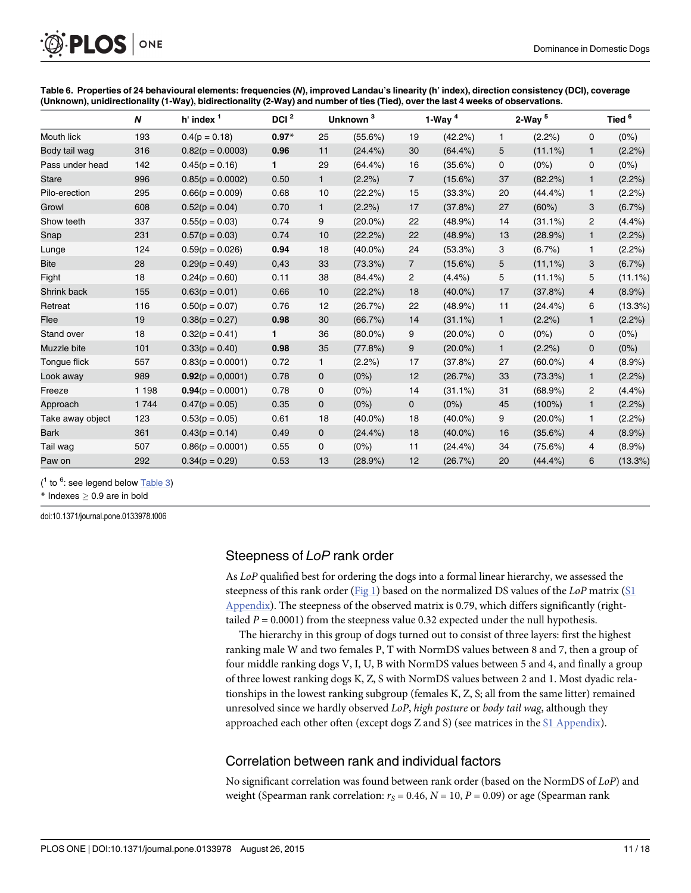<span id="page-10-0"></span>

| Table 6. Properties of 24 behavioural elements: frequencies (N), improved Landau's linearity (h' index), direction consistency (DCI), coverage |  |
|------------------------------------------------------------------------------------------------------------------------------------------------|--|
| (Unknown), unidirectionality (1-Way), bidirectionality (2-Way) and number of ties (Tied), over the last 4 weeks of observations.               |  |

|                  | N       | $h'$ index $1$     | DCI <sup>2</sup> |              | Unknown <sup>3</sup> |                | 1-Way $4$  |              | 2-Way $5$  |              | Tied <sup>6</sup> |
|------------------|---------|--------------------|------------------|--------------|----------------------|----------------|------------|--------------|------------|--------------|-------------------|
| Mouth lick       | 193     | $0.4(p = 0.18)$    | $0.97*$          | 25           | $(55.6\%)$           | 19             | $(42.2\%)$ | $\mathbf{1}$ | (2.2%)     | $\mathbf 0$  | (0%)              |
| Body tail wag    | 316     | $0.82(p = 0.0003)$ | 0.96             | 11           | $(24.4\%)$           | 30             | $(64.4\%)$ | 5            | $(11.1\%)$ | 1            | (2.2%)            |
| Pass under head  | 142     | $0.45(p = 0.16)$   | 1.               | 29           | $(64.4\%)$           | 16             | (35.6%)    | 0            | $(0\%)$    | 0            | $(0\%)$           |
| <b>Stare</b>     | 996     | $0.85(p = 0.0002)$ | 0.50             | 1            | $(2.2\%)$            | $\overline{7}$ | $(15.6\%)$ | 37           | (82.2%)    | 1            | $(2.2\%)$         |
| Pilo-erection    | 295     | $0.66(p = 0.009)$  | 0.68             | 10           | (22.2%)              | 15             | (33.3%)    | 20           | $(44.4\%)$ | 1            | (2.2%)            |
| Growl            | 608     | $0.52(p = 0.04)$   | 0.70             | $\mathbf{1}$ | $(2.2\%)$            | 17             | (37.8%)    | 27           | (60%)      | 3            | (6.7%)            |
| Show teeth       | 337     | $0.55(p = 0.03)$   | 0.74             | 9            | $(20.0\%)$           | 22             | $(48.9\%)$ | 14           | $(31.1\%)$ | 2            | $(4.4\%)$         |
| Snap             | 231     | $0.57(p = 0.03)$   | 0.74             | 10           | (22.2%)              | 22             | (48.9%)    | 13           | (28.9%)    | $\mathbf{1}$ | (2.2%)            |
| Lunge            | 124     | $0.59(p = 0.026)$  | 0.94             | 18           | $(40.0\%)$           | 24             | (53.3%)    | 3            | $(6.7\%)$  | 1            | (2.2%)            |
| <b>Bite</b>      | 28      | $0.29(p = 0.49)$   | 0,43             | 33           | (73.3%)              | $\overline{7}$ | $(15.6\%)$ | 5            | $(11,1\%)$ | 3            | (6.7%)            |
| Fight            | 18      | $0.24(p = 0.60)$   | 0.11             | 38           | $(84.4\%)$           | 2              | (4.4%)     | 5            | $(11.1\%)$ | 5            | (11.1%)           |
| Shrink back      | 155     | $0.63(p = 0.01)$   | 0.66             | 10           | (22.2%)              | 18             | $(40.0\%)$ | 17           | (37.8%)    | 4            | $(8.9\%)$         |
| Retreat          | 116     | $0.50(p = 0.07)$   | 0.76             | 12           | (26.7%)              | 22             | $(48.9\%)$ | 11           | $(24.4\%)$ | 6            | (13.3%)           |
| Flee             | 19      | $0.38(p = 0.27)$   | 0.98             | 30           | (66.7%)              | 14             | $(31.1\%)$ | $\mathbf{1}$ | $(2.2\%)$  | 1            | (2.2%)            |
| Stand over       | 18      | $0.32(p = 0.41)$   | 1.               | 36           | $(80.0\%)$           | 9              | $(20.0\%)$ | 0            | $(0\%)$    | 0            | $(0\%)$           |
| Muzzle bite      | 101     | $0.33(p = 0.40)$   | 0.98             | 35           | (77.8%)              | 9              | $(20.0\%)$ | $\mathbf{1}$ | $(2.2\%)$  | 0            | $(0\%)$           |
| Tongue flick     | 557     | $0.83(p = 0.0001)$ | 0.72             | 1            | $(2.2\%)$            | 17             | (37.8%)    | 27           | $(60.0\%)$ | 4            | (8.9%)            |
| Look away        | 989     | $0.92(p = 0,0001)$ | 0.78             | $\mathbf 0$  | $(0\%)$              | 12             | (26.7%)    | 33           | $(73.3\%)$ | 1            | (2.2%)            |
| Freeze           | 1 1 9 8 | $0.94(p = 0.0001)$ | 0.78             | $\pmb{0}$    | $(0\%)$              | 14             | $(31.1\%)$ | 31           | $(68.9\%)$ | 2            | (4.4%)            |
| Approach         | 1 7 4 4 | $0.47(p = 0.05)$   | 0.35             | $\mathbf 0$  | $(0\%)$              | $\mathbf 0$    | $(0\%)$    | 45           | $(100\%)$  | $\mathbf{1}$ | (2.2%)            |
| Take away object | 123     | $0.53(p = 0.05)$   | 0.61             | 18           | $(40.0\%)$           | 18             | $(40.0\%)$ | 9            | $(20.0\%)$ | 1            | $(2.2\%)$         |
| <b>Bark</b>      | 361     | $0.43(p = 0.14)$   | 0.49             | 0            | (24.4%)              | 18             | $(40.0\%)$ | 16           | (35.6%)    | 4            | $(8.9\%)$         |
| Tail wag         | 507     | $0.86(p = 0.0001)$ | 0.55             | 0            | $(0\%)$              | 11             | $(24.4\%)$ | 34           | (75.6%)    | 4            | $(8.9\%)$         |
| Paw on           | 292     | $0.34(p = 0.29)$   | 0.53             | 13           | (28.9%)              | 12             | (26.7%)    | 20           | (44.4%     | 6            | (13.3%)           |

 $(1)$  to  $6$ : see legend below [Table 3](#page-8-0))

 $*$  Indexes  $\geq 0.9$  are in bold

doi:10.1371/journal.pone.0133978.t006

# Steepness of LoP rank order

As LoP qualified best for ordering the dogs into a formal linear hierarchy, we assessed the steepness of this rank order [\(Fig 1\)](#page-11-0) based on the normalized DS values of the LoP matrix ( $S1$ [Appendix](#page-14-0)). The steepness of the observed matrix is 0.79, which differs significantly (righttailed  $P = 0.0001$ ) from the steepness value 0.32 expected under the null hypothesis.

The hierarchy in this group of dogs turned out to consist of three layers: first the highest ranking male W and two females P, T with NormDS values between 8 and 7, then a group of four middle ranking dogs V, I, U, B with NormDS values between 5 and 4, and finally a group of three lowest ranking dogs K, Z, S with NormDS values between 2 and 1. Most dyadic relationships in the lowest ranking subgroup (females K, Z, S; all from the same litter) remained unresolved since we hardly observed LoP, high posture or body tail wag, although they approached each other often (except dogs Z and S) (see matrices in the [S1 Appendix](#page-14-0)).

# Correlation between rank and individual factors

No significant correlation was found between rank order (based on the NormDS of LoP) and weight (Spearman rank correlation:  $r_S = 0.46$ ,  $N = 10$ ,  $P = 0.09$ ) or age (Spearman rank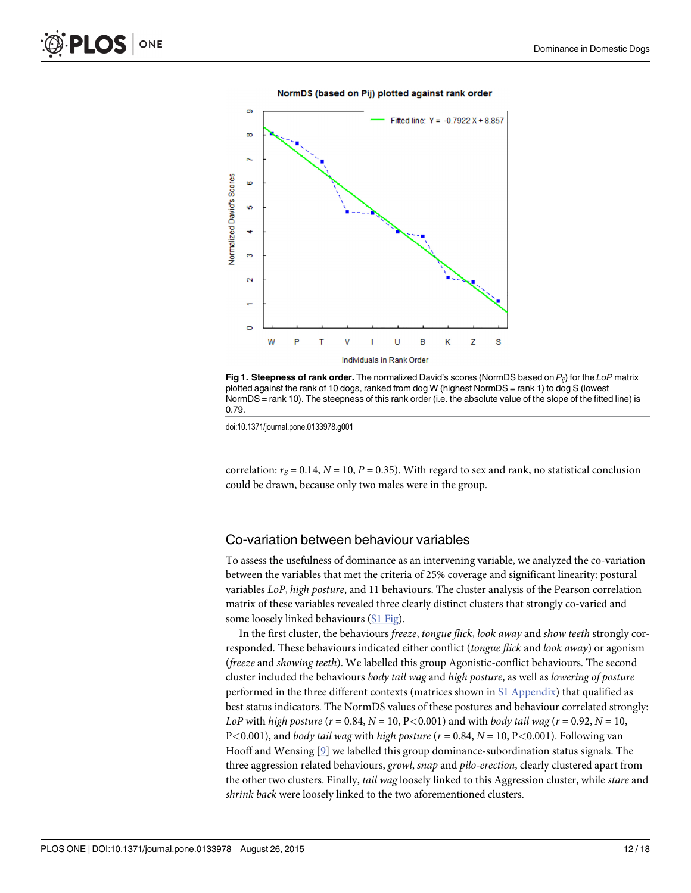

<span id="page-11-0"></span>

[Fig 1. S](#page-10-0)teepness of rank order. The normalized David's scores (NormDS based on  $P_{ii}$ ) for the LoP matrix plotted against the rank of 10 dogs, ranked from dog W (highest NormDS = rank 1) to dog S (lowest NormDS = rank 10). The steepness of this rank order (i.e. the absolute value of the slope of the fitted line) is 0.79.

doi:10.1371/journal.pone.0133978.g001

correlation:  $r_S = 0.14$ ,  $N = 10$ ,  $P = 0.35$ ). With regard to sex and rank, no statistical conclusion could be drawn, because only two males were in the group.

#### Co-variation between behaviour variables

To assess the usefulness of dominance as an intervening variable, we analyzed the co-variation between the variables that met the criteria of 25% coverage and significant linearity: postural variables LoP, high posture, and 11 behaviours. The cluster analysis of the Pearson correlation matrix of these variables revealed three clearly distinct clusters that strongly co-varied and some loosely linked behaviours [\(S1 Fig](#page-15-0)).

In the first cluster, the behaviours freeze, tongue flick, look away and show teeth strongly corresponded. These behaviours indicated either conflict (tongue flick and look away) or agonism (freeze and showing teeth). We labelled this group Agonistic-conflict behaviours. The second cluster included the behaviours body tail wag and high posture, as well as lowering of posture performed in the three different contexts (matrices shown in [S1 Appendix\)](#page-14-0) that qualified as best status indicators. The NormDS values of these postures and behaviour correlated strongly: LoP with high posture (r = 0.84, N = 10, P < 0.001) and with body tail wag (r = 0.92, N = 10, P<0.001), and body tail wag with high posture ( $r = 0.84$ ,  $N = 10$ , P<0.001). Following van Hooff and Wensing [\[9\]](#page-15-0) we labelled this group dominance-subordination status signals. The three aggression related behaviours, growl, snap and pilo-erection, clearly clustered apart from the other two clusters. Finally, tail wag loosely linked to this Aggression cluster, while stare and shrink back were loosely linked to the two aforementioned clusters.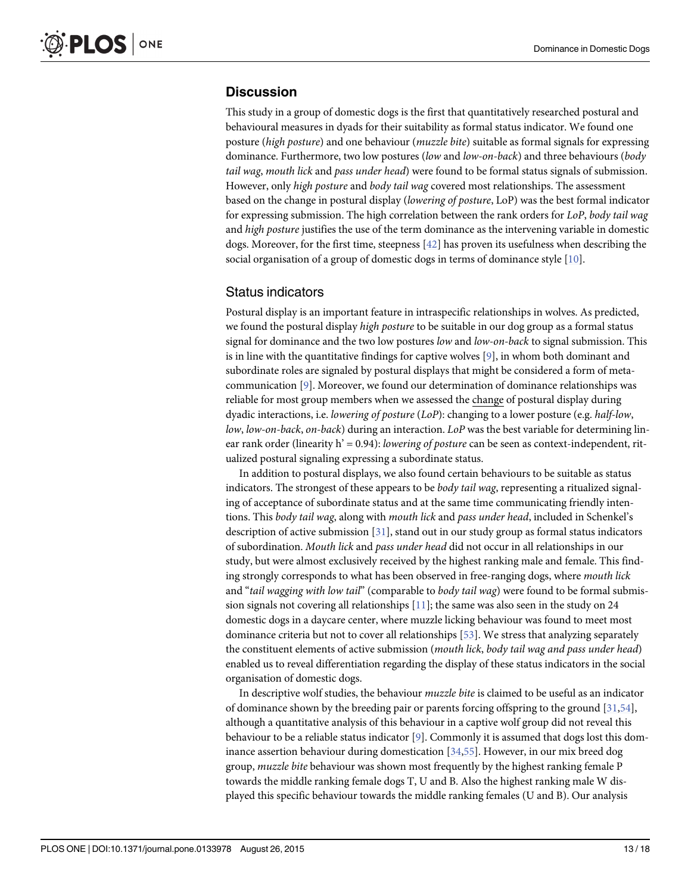# <span id="page-12-0"></span>**Discussion**

This study in a group of domestic dogs is the first that quantitatively researched postural and behavioural measures in dyads for their suitability as formal status indicator. We found one posture (high posture) and one behaviour (muzzle bite) suitable as formal signals for expressing dominance. Furthermore, two low postures (low and low-on-back) and three behaviours (body tail wag, mouth lick and pass under head) were found to be formal status signals of submission. However, only high posture and body tail wag covered most relationships. The assessment based on the change in postural display (lowering of posture, LoP) was the best formal indicator for expressing submission. The high correlation between the rank orders for LoP, body tail wag and high posture justifies the use of the term dominance as the intervening variable in domestic dogs. Moreover, for the first time, steepness [[42\]](#page-16-0) has proven its usefulness when describing the social organisation of a group of domestic dogs in terms of dominance style  $[10]$  $[10]$ .

# Status indicators

Postural display is an important feature in intraspecific relationships in wolves. As predicted, we found the postural display *high posture* to be suitable in our dog group as a formal status signal for dominance and the two low postures low and low-on-back to signal submission. This is in line with the quantitative findings for captive wolves [\[9\]](#page-15-0), in whom both dominant and subordinate roles are signaled by postural displays that might be considered a form of metacommunication [[9\]](#page-15-0). Moreover, we found our determination of dominance relationships was reliable for most group members when we assessed the change of postural display during dyadic interactions, i.e. lowering of posture (LoP): changing to a lower posture (e.g. half-low, low, low-on-back, on-back) during an interaction. LoP was the best variable for determining linear rank order (linearity  $h' = 0.94$ ): lowering of posture can be seen as context-independent, ritualized postural signaling expressing a subordinate status.

In addition to postural displays, we also found certain behaviours to be suitable as status indicators. The strongest of these appears to be *body tail wag*, representing a ritualized signaling of acceptance of subordinate status and at the same time communicating friendly intentions. This body tail wag, along with mouth lick and pass under head, included in Schenkel's description of active submission  $[31]$  $[31]$  $[31]$ , stand out in our study group as formal status indicators of subordination. Mouth lick and pass under head did not occur in all relationships in our study, but were almost exclusively received by the highest ranking male and female. This finding strongly corresponds to what has been observed in free-ranging dogs, where mouth lick and "tail wagging with low tail" (comparable to body tail wag) were found to be formal submission signals not covering all relationships  $[11]$ ; the same was also seen in the study on 24 domestic dogs in a daycare center, where muzzle licking behaviour was found to meet most dominance criteria but not to cover all relationships [[53](#page-17-0)]. We stress that analyzing separately the constituent elements of active submission (mouth lick, body tail wag and pass under head) enabled us to reveal differentiation regarding the display of these status indicators in the social organisation of domestic dogs.

In descriptive wolf studies, the behaviour muzzle bite is claimed to be useful as an indicator of dominance shown by the breeding pair or parents forcing offspring to the ground  $[31,54]$  $[31,54]$  $[31,54]$  $[31,54]$  $[31,54]$ , although a quantitative analysis of this behaviour in a captive wolf group did not reveal this behaviour to be a reliable status indicator [\[9](#page-15-0)]. Commonly it is assumed that dogs lost this dominance assertion behaviour during domestication [\[34,](#page-16-0)[55\]](#page-17-0). However, in our mix breed dog group, muzzle bite behaviour was shown most frequently by the highest ranking female P towards the middle ranking female dogs T, U and B. Also the highest ranking male W displayed this specific behaviour towards the middle ranking females (U and B). Our analysis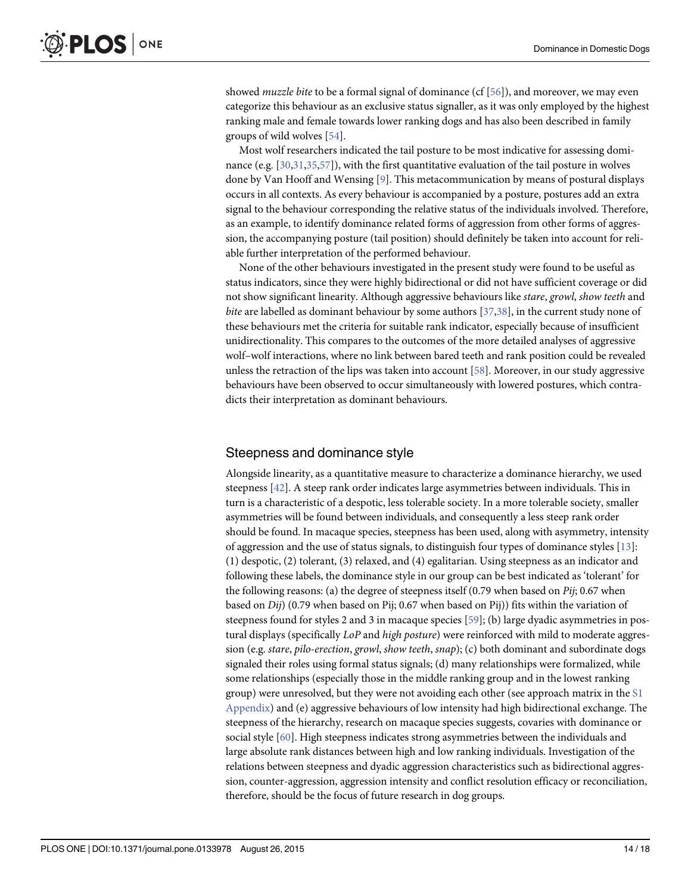<span id="page-13-0"></span>showed *muzzle bite* to be a formal signal of dominance (cf  $[56]$  $[56]$ ), and moreover, we may even categorize this behaviour as an exclusive status signaller, as it was only employed by the highest ranking male and female towards lower ranking dogs and has also been described in family groups of wild wolves [\[54\]](#page-17-0).

Most wolf researchers indicated the tail posture to be most indicative for assessing dominance (e.g. [[30,31](#page-16-0),[35](#page-16-0)[,57\]](#page-17-0)), with the first quantitative evaluation of the tail posture in wolves done by Van Hooff and Wensing [[9\]](#page-15-0). This metacommunication by means of postural displays occurs in all contexts. As every behaviour is accompanied by a posture, postures add an extra signal to the behaviour corresponding the relative status of the individuals involved. Therefore, as an example, to identify dominance related forms of aggression from other forms of aggression, the accompanying posture (tail position) should definitely be taken into account for reliable further interpretation of the performed behaviour.

None of the other behaviours investigated in the present study were found to be useful as status indicators, since they were highly bidirectional or did not have sufficient coverage or did not show significant linearity. Although aggressive behaviours like stare, growl, show teeth and bite are labelled as dominant behaviour by some authors [\[37,38\]](#page-16-0), in the current study none of these behaviours met the criteria for suitable rank indicator, especially because of insufficient unidirectionality. This compares to the outcomes of the more detailed analyses of aggressive wolf–wolf interactions, where no link between bared teeth and rank position could be revealed unless the retraction of the lips was taken into account  $[58]$ . Moreover, in our study aggressive behaviours have been observed to occur simultaneously with lowered postures, which contradicts their interpretation as dominant behaviours.

#### Steepness and dominance style

Alongside linearity, as a quantitative measure to characterize a dominance hierarchy, we used steepness [[42](#page-16-0)]. A steep rank order indicates large asymmetries between individuals. This in turn is a characteristic of a despotic, less tolerable society. In a more tolerable society, smaller asymmetries will be found between individuals, and consequently a less steep rank order should be found. In macaque species, steepness has been used, along with asymmetry, intensity of aggression and the use of status signals, to distinguish four types of dominance styles [[13](#page-15-0)]: (1) despotic, (2) tolerant, (3) relaxed, and (4) egalitarian. Using steepness as an indicator and following these labels, the dominance style in our group can be best indicated as 'tolerant' for the following reasons: (a) the degree of steepness itself (0.79 when based on Pij; 0.67 when based on Dij) (0.79 when based on Pij; 0.67 when based on Pij)) fits within the variation of steepness found for styles 2 and 3 in macaque species  $[59]$  $[59]$  $[59]$ ; (b) large dyadic asymmetries in postural displays (specifically LoP and high posture) were reinforced with mild to moderate aggression (e.g. stare, pilo-erection, growl, show teeth, snap); (c) both dominant and subordinate dogs signaled their roles using formal status signals; (d) many relationships were formalized, while some relationships (especially those in the middle ranking group and in the lowest ranking group) were unresolved, but they were not avoiding each other (see approach matrix in the [S1](#page-14-0) [Appendix](#page-14-0)) and (e) aggressive behaviours of low intensity had high bidirectional exchange. The steepness of the hierarchy, research on macaque species suggests, covaries with dominance or social style [\[60\]](#page-17-0). High steepness indicates strong asymmetries between the individuals and large absolute rank distances between high and low ranking individuals. Investigation of the relations between steepness and dyadic aggression characteristics such as bidirectional aggression, counter-aggression, aggression intensity and conflict resolution efficacy or reconciliation, therefore, should be the focus of future research in dog groups.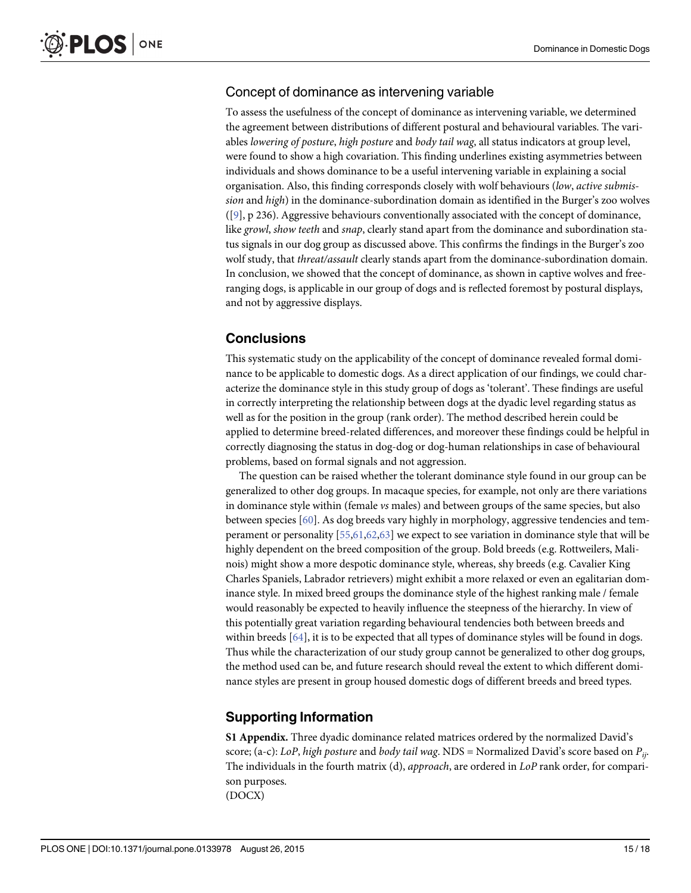# <span id="page-14-0"></span>Concept of dominance as intervening variable

To assess the usefulness of the concept of dominance as intervening variable, we determined the agreement between distributions of different postural and behavioural variables. The variables lowering of posture, high posture and body tail wag, all status indicators at group level, were found to show a high covariation. This finding underlines existing asymmetries between individuals and shows dominance to be a useful intervening variable in explaining a social organisation. Also, this finding corresponds closely with wolf behaviours (low, active submission and high) in the dominance-subordination domain as identified in the Burger's zoo wolves  $([9], p$  $([9], p$  $([9], p$  236). Aggressive behaviours conventionally associated with the concept of dominance, like growl, show teeth and snap, clearly stand apart from the dominance and subordination status signals in our dog group as discussed above. This confirms the findings in the Burger's zoo wolf study, that threat/assault clearly stands apart from the dominance-subordination domain. In conclusion, we showed that the concept of dominance, as shown in captive wolves and freeranging dogs, is applicable in our group of dogs and is reflected foremost by postural displays, and not by aggressive displays.

# **Conclusions**

This systematic study on the applicability of the concept of dominance revealed formal dominance to be applicable to domestic dogs. As a direct application of our findings, we could characterize the dominance style in this study group of dogs as 'tolerant'. These findings are useful in correctly interpreting the relationship between dogs at the dyadic level regarding status as well as for the position in the group (rank order). The method described herein could be applied to determine breed-related differences, and moreover these findings could be helpful in correctly diagnosing the status in dog-dog or dog-human relationships in case of behavioural problems, based on formal signals and not aggression.

The question can be raised whether the tolerant dominance style found in our group can be generalized to other dog groups. In macaque species, for example, not only are there variations in dominance style within (female vs males) and between groups of the same species, but also between species [\[60\]](#page-17-0). As dog breeds vary highly in morphology, aggressive tendencies and temperament or personality [\[55,61](#page-17-0),[62,63\]](#page-17-0) we expect to see variation in dominance style that will be highly dependent on the breed composition of the group. Bold breeds (e.g. Rottweilers, Malinois) might show a more despotic dominance style, whereas, shy breeds (e.g. Cavalier King Charles Spaniels, Labrador retrievers) might exhibit a more relaxed or even an egalitarian dominance style. In mixed breed groups the dominance style of the highest ranking male / female would reasonably be expected to heavily influence the steepness of the hierarchy. In view of this potentially great variation regarding behavioural tendencies both between breeds and within breeds [\[64](#page-17-0)], it is to be expected that all types of dominance styles will be found in dogs. Thus while the characterization of our study group cannot be generalized to other dog groups, the method used can be, and future research should reveal the extent to which different dominance styles are present in group housed domestic dogs of different breeds and breed types.

# Supporting Information

[S1 Appendix.](http://www.plosone.org/article/fetchSingleRepresentation.action?uri=info:doi/10.1371/journal.pone.0133978.s001) Three dyadic dominance related matrices ordered by the normalized David's score; (a-c): LoP, high posture and body tail wag. NDS = Normalized David's score based on  $P_{ii}$ . The individuals in the fourth matrix (d), approach, are ordered in LoP rank order, for comparison purposes. (DOCX)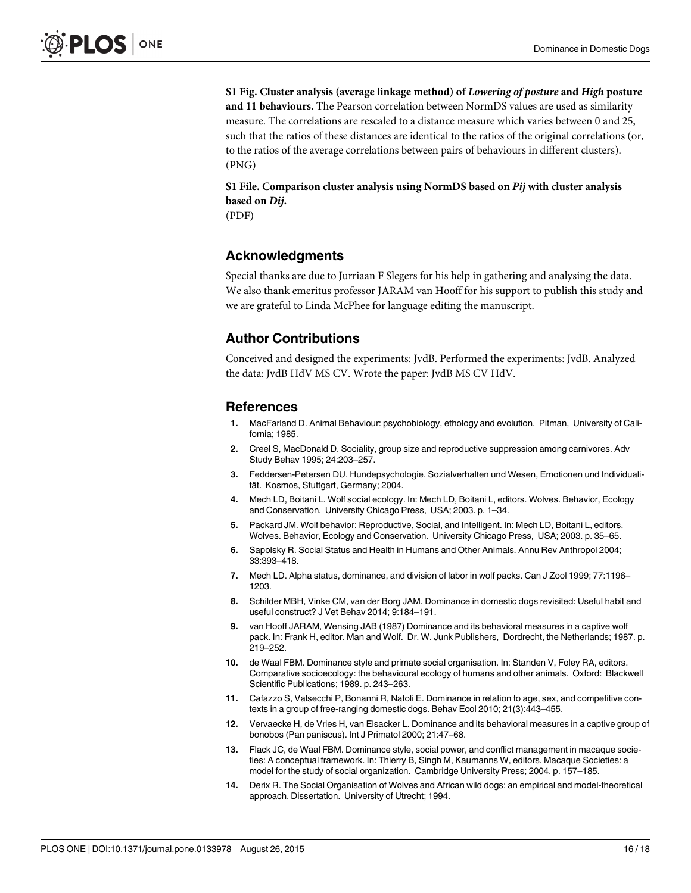<span id="page-15-0"></span>[S1 Fig.](http://www.plosone.org/article/fetchSingleRepresentation.action?uri=info:doi/10.1371/journal.pone.0133978.s002) Cluster analysis (average linkage method) of Lowering of posture and High posture and 11 behaviours. The Pearson correlation between NormDS values are used as similarity measure. The correlations are rescaled to a distance measure which varies between 0 and 25, such that the ratios of these distances are identical to the ratios of the original correlations (or, to the ratios of the average correlations between pairs of behaviours in different clusters). (PNG)

[S1 File.](http://www.plosone.org/article/fetchSingleRepresentation.action?uri=info:doi/10.1371/journal.pone.0133978.s003) Comparison cluster analysis using NormDS based on Pij with cluster analysis based on Dij.

(PDF)

# Acknowledgments

Special thanks are due to Jurriaan F Slegers for his help in gathering and analysing the data. We also thank emeritus professor JARAM van Hooff for his support to publish this study and we are grateful to Linda McPhee for language editing the manuscript.

#### Author Contributions

Conceived and designed the experiments: JvdB. Performed the experiments: JvdB. Analyzed the data: JvdB HdV MS CV. Wrote the paper: JvdB MS CV HdV.

#### References

- [1.](#page-1-0) MacFarland D. Animal Behaviour: psychobiology, ethology and evolution. Pitman, University of California; 1985.
- [2.](#page-1-0) Creel S, MacDonald D. Sociality, group size and reproductive suppression among carnivores. Adv Study Behav 1995; 24:203–257.
- [3.](#page-1-0) Feddersen-Petersen DU. Hundepsychologie. Sozialverhalten und Wesen, Emotionen und Individualität. Kosmos, Stuttgart, Germany; 2004.
- [4.](#page-1-0) Mech LD, Boitani L. Wolf social ecology. In: Mech LD, Boitani L, editors. Wolves. Behavior, Ecology and Conservation. University Chicago Press, USA; 2003. p. 1–34.
- [5.](#page-1-0) Packard JM. Wolf behavior: Reproductive, Social, and Intelligent. In: Mech LD, Boitani L, editors. Wolves. Behavior, Ecology and Conservation. University Chicago Press, USA; 2003. p. 35–65.
- [6.](#page-1-0) Sapolsky R. Social Status and Health in Humans and Other Animals. Annu Rev Anthropol 2004; 33:393–418.
- [7.](#page-1-0) Mech LD. Alpha status, dominance, and division of labor in wolf packs. Can J Zool 1999; 77:1196– 1203.
- [8.](#page-1-0) Schilder MBH, Vinke CM, van der Borg JAM. Dominance in domestic dogs revisited: Useful habit and useful construct? J Vet Behav 2014; 9:184–191.
- [9.](#page-1-0) van Hooff JARAM, Wensing JAB (1987) Dominance and its behavioral measures in a captive wolf pack. In: Frank H, editor. Man and Wolf. Dr. W. Junk Publishers, Dordrecht, the Netherlands; 1987. p. 219–252.
- [10.](#page-1-0) de Waal FBM. Dominance style and primate social organisation. In: Standen V, Foley RA, editors. Comparative socioecology: the behavioural ecology of humans and other animals. Oxford: Blackwell Scientific Publications; 1989. p. 243–263.
- [11.](#page-1-0) Cafazzo S, Valsecchi P, Bonanni R, Natoli E. Dominance in relation to age, sex, and competitive contexts in a group of free-ranging domestic dogs. Behav Ecol 2010; 21(3):443–455.
- [12.](#page-1-0) Vervaecke H, de Vries H, van Elsacker L. Dominance and its behavioral measures in a captive group of bonobos (Pan paniscus). Int J Primatol 2000; 21:47–68.
- [13.](#page-1-0) Flack JC, de Waal FBM. Dominance style, social power, and conflict management in macaque societies: A conceptual framework. In: Thierry B, Singh M, Kaumanns W, editors. Macaque Societies: a model for the study of social organization. Cambridge University Press; 2004. p. 157–185.
- [14.](#page-1-0) Derix R. The Social Organisation of Wolves and African wild dogs: an empirical and model-theoretical approach. Dissertation. University of Utrecht; 1994.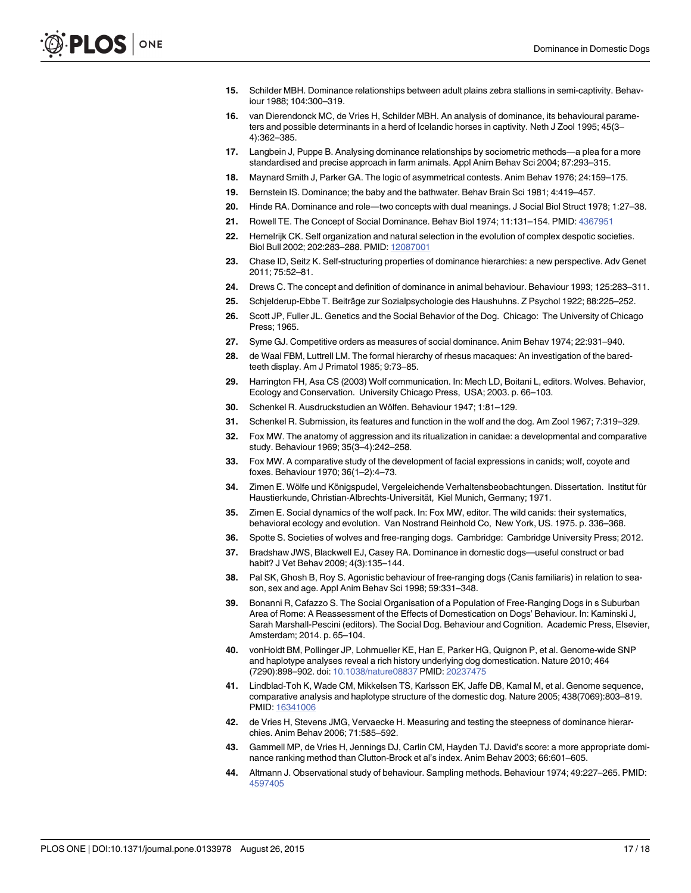- <span id="page-16-0"></span>[15.](#page-1-0) Schilder MBH. Dominance relationships between adult plains zebra stallions in semi-captivity. Behaviour 1988; 104:300–319.
- [16.](#page-1-0) van Dierendonck MC, de Vries H, Schilder MBH. An analysis of dominance, its behavioural parameters and possible determinants in a herd of Icelandic horses in captivity. Neth J Zool 1995; 45(3– 4):362–385.
- [17.](#page-1-0) Langbein J, Puppe B. Analysing dominance relationships by sociometric methods—a plea for a more standardised and precise approach in farm animals. Appl Anim Behav Sci 2004; 87:293–315.
- [18.](#page-1-0) Maynard Smith J, Parker GA. The logic of asymmetrical contests. Anim Behav 1976; 24:159–175.
- [19.](#page-1-0) Bernstein IS. Dominance; the baby and the bathwater. Behav Brain Sci 1981; 4:419–457.
- [20.](#page-1-0) Hinde RA. Dominance and role—two concepts with dual meanings. J Social Biol Struct 1978; 1:27–38.
- [21.](#page-1-0) Rowell TE. The Concept of Social Dominance. Behav Biol 1974; 11:131–154. PMID: [4367951](http://www.ncbi.nlm.nih.gov/pubmed/4367951)
- [22.](#page-1-0) Hemelrijk CK. Self organization and natural selection in the evolution of complex despotic societies. Biol Bull 2002; 202:283–288. PMID: [12087001](http://www.ncbi.nlm.nih.gov/pubmed/12087001)
- [23.](#page-1-0) Chase ID, Seitz K. Self-structuring properties of dominance hierarchies: a new perspective. Adv Genet 2011; 75:52–81.
- [24.](#page-2-0) Drews C. The concept and definition of dominance in animal behaviour. Behaviour 1993; 125:283–311.
- [25.](#page-2-0) Schjelderup-Ebbe T. Beiträge zur Sozialpsychologie des Haushuhns. Z Psychol 1922; 88:225–252.
- [26.](#page-2-0) Scott JP, Fuller JL. Genetics and the Social Behavior of the Dog. Chicago: The University of Chicago Press; 1965.
- [27.](#page-2-0) Syme GJ. Competitive orders as measures of social dominance. Anim Behav 1974; 22:931–940.
- [28.](#page-2-0) de Waal FBM, Luttrell LM. The formal hierarchy of rhesus macaques: An investigation of the baredteeth display. Am J Primatol 1985; 9:73–85.
- [29.](#page-2-0) Harrington FH, Asa CS (2003) Wolf communication. In: Mech LD, Boitani L, editors. Wolves. Behavior, Ecology and Conservation. University Chicago Press, USA; 2003. p. 66–103.
- [30.](#page-2-0) Schenkel R. Ausdruckstudien an Wölfen. Behaviour 1947; 1:81–129.
- [31.](#page-8-0) Schenkel R. Submission, its features and function in the wolf and the dog. Am Zool 1967; 7:319–329.
- 32. Fox MW. The anatomy of aggression and its ritualization in canidae: a developmental and comparative study. Behaviour 1969; 35(3–4):242–258.
- 33. Fox MW. A comparative study of the development of facial expressions in canids; wolf, coyote and foxes. Behaviour 1970; 36(1–2):4–73.
- [34.](#page-5-0) Zimen E. Wölfe und Königspudel, Vergeleichende Verhaltensbeobachtungen. Dissertation. Institut für Haustierkunde, Christian-Albrechts-Universität, Kiel Munich, Germany; 1971.
- [35.](#page-13-0) Zimen E. Social dynamics of the wolf pack. In: Fox MW, editor. The wild canids: their systematics, behavioral ecology and evolution. Van Nostrand Reinhold Co, New York, US. 1975. p. 336–368.
- [36.](#page-2-0) Spotte S. Societies of wolves and free-ranging dogs. Cambridge: Cambridge University Press; 2012.
- [37.](#page-2-0) Bradshaw JWS, Blackwell EJ, Casey RA. Dominance in domestic dogs—useful construct or bad habit? J Vet Behav 2009; 4(3):135–144.
- [38.](#page-2-0) Pal SK, Ghosh B, Roy S. Agonistic behaviour of free-ranging dogs (Canis familiaris) in relation to season, sex and age. Appl Anim Behav Sci 1998; 59:331–348.
- [39.](#page-2-0) Bonanni R, Cafazzo S. The Social Organisation of a Population of Free-Ranging Dogs in s Suburban Area of Rome: A Reassessment of the Effects of Domestication on Dogs' Behaviour. In: Kaminski J, Sarah Marshall-Pescini (editors). The Social Dog. Behaviour and Cognition. Academic Press, Elsevier, Amsterdam; 2014. p. 65–104.
- [40.](#page-3-0) vonHoldt BM, Pollinger JP, Lohmueller KE, Han E, Parker HG, Quignon P, et al. Genome-wide SNP and haplotype analyses reveal a rich history underlying dog domestication. Nature 2010; 464 (7290):898–902. doi: [10.1038/nature08837](http://dx.doi.org/10.1038/nature08837) PMID: [20237475](http://www.ncbi.nlm.nih.gov/pubmed/20237475)
- [41.](#page-3-0) Lindblad-Toh K, Wade CM, Mikkelsen TS, Karlsson EK, Jaffe DB, Kamal M, et al. Genome sequence, comparative analysis and haplotype structure of the domestic dog. Nature 2005; 438(7069):803–819. PMID: [16341006](http://www.ncbi.nlm.nih.gov/pubmed/16341006)
- [42.](#page-3-0) de Vries H, Stevens JMG, Vervaecke H. Measuring and testing the steepness of dominance hierarchies. Anim Behav 2006; 71:585–592.
- [43.](#page-3-0) Gammell MP, de Vries H, Jennings DJ, Carlin CM, Hayden TJ. David's score: a more appropriate dominance ranking method than Clutton-Brock et al's index. Anim Behav 2003; 66:601–605.
- [44.](#page-4-0) Altmann J. Observational study of behaviour. Sampling methods. Behaviour 1974; 49:227–265. PMID: [4597405](http://www.ncbi.nlm.nih.gov/pubmed/4597405)